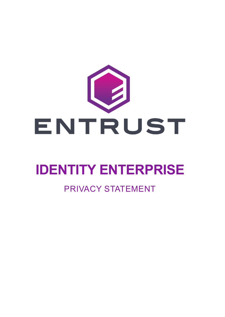

# **IDENTITY ENTERPRISE**

### PRIVACY STATEMENT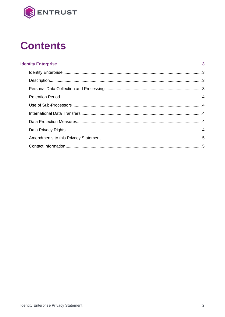

# **Contents**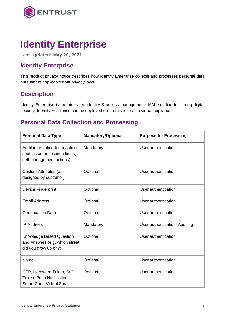

## <span id="page-2-0"></span>**Identity Enterprise**

**Last Updated: May 20, 2021**

#### <span id="page-2-1"></span>**Identity Enterprise**

This product privacy notice describes how Identity Enterprise collects and processes personal data pursuant to applicable data privacy laws.

#### <span id="page-2-2"></span>**Description**

Identity Enterprise is an integrated identity & access management (IAM) solution for strong digital security. Identity Enterprise can be deployed on-premises or as a virtual appliance.

#### <span id="page-2-3"></span>**Personal Data Collection and Processing**

| <b>Personal Data Type</b>                                                                    | <b>Mandatory/Optional</b> | <b>Purpose for Processing</b> |
|----------------------------------------------------------------------------------------------|---------------------------|-------------------------------|
| Audit information (user actions<br>such as authentication times,<br>self-management actions) | Mandatory                 | User authentication           |
| <b>Custom Attributes (as</b><br>designed by customer)                                        | Optional                  | User authentication           |
| Device Fingerprint                                                                           | Optional                  | User authentication           |
| <b>Email Address</b>                                                                         | Optional                  | User authentication           |
| <b>Geo-location Data</b>                                                                     | Optional                  | User authentication           |
| <b>IP Address</b>                                                                            | Mandatory                 | User authentication, Auditing |
| Knowledge Based Question<br>and Answers (e.g. which street<br>did you grow up on?)           | Optional                  | User authentication           |
| Name                                                                                         | Optional                  | User authentication           |
| OTP, Hardware Token, Soft<br>Token, Push Notification,<br>Smart Card, Virtual Smart          | Optional                  | User authentication           |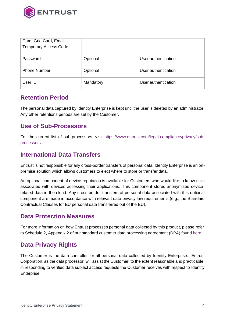

| Card, Grid Card, Email,<br><b>Temporary Access Code</b> |           |                     |
|---------------------------------------------------------|-----------|---------------------|
| Password                                                | Optional  | User authentication |
| <b>Phone Number</b>                                     | Optional  | User authentication |
| User ID                                                 | Mandatory | User authentication |

#### <span id="page-3-0"></span>**Retention Period**

The personal data captured by Identity Enterprise is kept until the user is deleted by an administrator. Any other retentions periods are set by the Customer.

#### <span id="page-3-1"></span>**Use of Sub-Processors**

For the current list of sub-processors, visit [https://www.entrust.com/legal-compliance/privacy/sub](https://www.entrust.com/legal-compliance/privacy/sub-processors)[processors.](https://www.entrust.com/legal-compliance/privacy/sub-processors)

#### <span id="page-3-2"></span>**International Data Transfers**

Entrust is not responsible for any cross-border transfers of personal data. Identity Enterprise is an onpremise solution which allows customers to elect where to store or transfer data.

An optional component of device reputation is available for Customers who would like to know risks associated with devices accessing their applications. This component stores anonymized devicerelated data in the cloud. Any cross-border transfers of personal data associated with this optional component are made in accordance with relevant data privacy law requirements (e.g., the Standard Contractual Clauses for EU personal data transferred out of the EU).

#### <span id="page-3-3"></span>**Data Protection Measures**

For more information on how Entrust processes personal data collected by this product, please refer to Schedule 2, Appendix 2 of our standard customer data processing agreement (DPA) foun[d here.](https://www.entrust.com/-/media/documentation/licensingandagreements/dpa---entrust-acting-as-processor.pdf)

#### <span id="page-3-4"></span>**Data Privacy Rights**

The Customer is the data controller for all personal data collected by Identity Enterprise. Entrust Corporation, as the data processor, will assist the Customer, to the extent reasonable and practicable, in responding to verified data subject access requests the Customer receives with respect to Identity Enterprise.